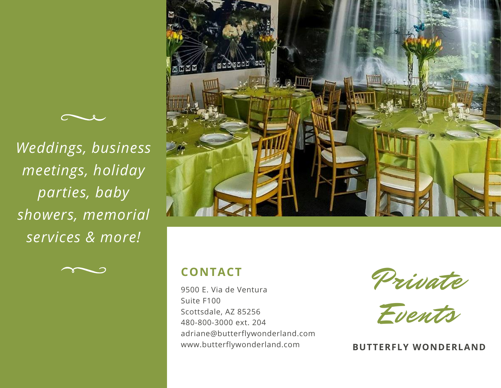

*Weddings, business meetings, holiday parties, baby showers, memorial services & more!*





## **CONTACT**

9500 E. Via de Ventura Suite F100 Scottsdale, AZ 85256 480-800-3000 ext. 204 adriane@butterflywonderland.com www.butterflywonderland.com

Private

Events

**BUTTERFLY WONDERLAND**